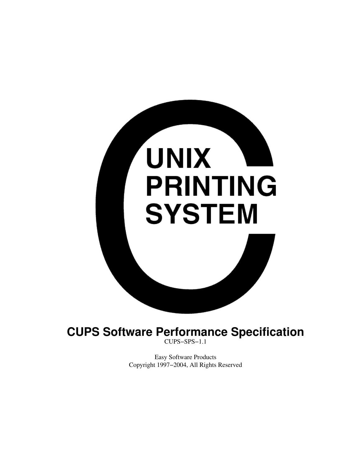

CUPS−SPS−1.1

Easy Software Products Copyright 1997−2004, All Rights Reserved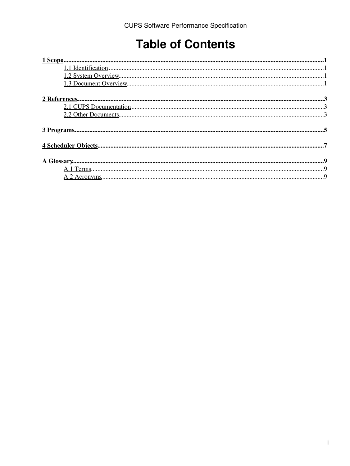### **Table of Contents**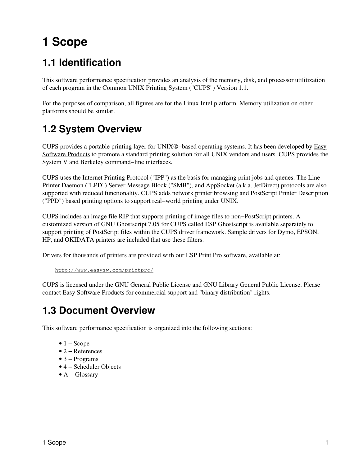## <span id="page-4-0"></span>**1 Scope**

### <span id="page-4-1"></span>**1.1 Identification**

This software performance specification provides an analysis of the memory, disk, and processor utilitization of each program in the Common UNIX Printing System ("CUPS") Version 1.1.

For the purposes of comparison, all figures are for the Linux Intel platform. Memory utilization on other platforms should be similar.

#### <span id="page-4-2"></span>**1.2 System Overview**

CUPS provides a portable printing layer for UNIX®−based operating systems. It has been developed by [Easy](http://www.easysw.com) [Software Products](http://www.easysw.com) to promote a standard printing solution for all UNIX vendors and users. CUPS provides the System V and Berkeley command−line interfaces.

CUPS uses the Internet Printing Protocol ("IPP") as the basis for managing print jobs and queues. The Line Printer Daemon ("LPD") Server Message Block ("SMB"), and AppSocket (a.k.a. JetDirect) protocols are also supported with reduced functionality. CUPS adds network printer browsing and PostScript Printer Description ("PPD") based printing options to support real−world printing under UNIX.

CUPS includes an image file RIP that supports printing of image files to non−PostScript printers. A customized version of GNU Ghostscript 7.05 for CUPS called ESP Ghostscript is available separately to support printing of PostScript files within the CUPS driver framework. Sample drivers for Dymo, EPSON, HP, and OKIDATA printers are included that use these filters.

Drivers for thousands of printers are provided with our ESP Print Pro software, available at:

```
http://www.easysw.com/printpro/
```
CUPS is licensed under the GNU General Public License and GNU Library General Public License. Please contact Easy Software Products for commercial support and "binary distribution" rights.

#### <span id="page-4-3"></span>**1.3 Document Overview**

This software performance specification is organized into the following sections:

- $\bullet$  1 Scope
- 2 − References
- 3 − Programs
- 4 − Scheduler Objects
- A − Glossary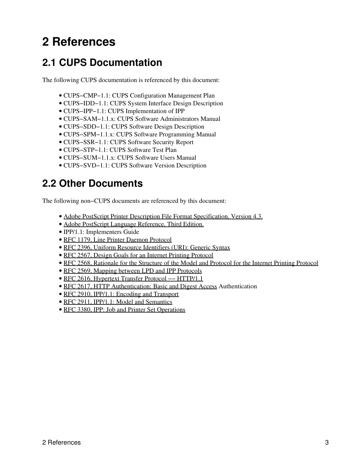### <span id="page-6-0"></span>**2 References**

#### <span id="page-6-1"></span>**2.1 CUPS Documentation**

The following CUPS documentation is referenced by this document:

- CUPS−CMP−1.1: CUPS Configuration Management Plan
- CUPS−IDD−1.1: CUPS System Interface Design Description
- CUPS−IPP−1.1: CUPS Implementation of IPP
- CUPS−SAM−1.1.x: CUPS Software Administrators Manual
- CUPS−SDD−1.1: CUPS Software Design Description
- CUPS−SPM−1.1.x: CUPS Software Programming Manual
- CUPS−SSR−1.1: CUPS Software Security Report
- CUPS−STP−1.1: CUPS Software Test Plan
- CUPS−SUM−1.1.x: CUPS Software Users Manual
- CUPS−SVD−1.1: CUPS Software Version Description

#### <span id="page-6-2"></span>**2.2 Other Documents**

The following non−CUPS documents are referenced by this document:

- [Adobe PostScript Printer Description File Format Specification, Version 4.3.](http://partners.adobe.com/asn/developer/PDFS/TN/5003.PPD_Spec_v4.3.pdf)
- [Adobe PostScript Language Reference, Third Edition.](http://partners.adobe.com/asn/developer/PDFS/TN/PLRM.pdf)
- IPP/1.1: Implementers Guide
- [RFC 1179, Line Printer Daemon Protocol](http://www.ietf.org/rfc/rfc1179.txt)
- [RFC 2396, Uniform Resource Identifiers \(URI\): Generic Syntax](http://www.ietf.org/rfc/rfc2396.txt)
- [RFC 2567, Design Goals for an Internet Printing Protocol](http://www.ietf.org/rfc/rfc2567.txt)
- [RFC 2568, Rationale for the Structure of the Model and Protocol for the Internet Printing Protocol](http://www.ietf.org/rfc/rfc2568.txt)
- [RFC 2569, Mapping between LPD and IPP Protocols](http://www.ietf.org/rfc/rfc2569.txt)
- [RFC 2616, Hypertext Transfer Protocol −− HTTP/1.1](http://www.ietf.org/rfc/rfc2616.txt)
- [RFC 2617, HTTP Authentication: Basic and Digest Access](http://www.ietf.org/rfc/rfc2617.txt) Authentication
- [RFC 2910, IPP/1.1: Encoding and Transport](http://www.ietf.org/rfc/rfc2910.txt)
- [RFC 2911, IPP/1.1: Model and Semantics](http://www.ietf.org/rfc/rfc2911.txt)
- [RFC 3380, IPP: Job and Printer Set Operations](http://www.ietf.org/rfc/rfc3380.txt)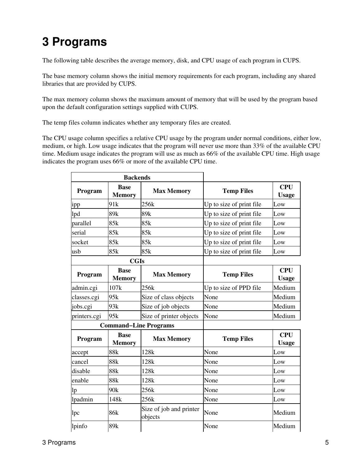## <span id="page-8-0"></span>**3 Programs**

The following table describes the average memory, disk, and CPU usage of each program in CUPS.

The base memory column shows the initial memory requirements for each program, including any shared libraries that are provided by CUPS.

The max memory column shows the maximum amount of memory that will be used by the program based upon the default configuration settings supplied with CUPS.

The temp files column indicates whether any temporary files are created.

The CPU usage column specifies a relative CPU usage by the program under normal conditions, either low, medium, or high. Low usage indicates that the program will never use more than 33% of the available CPU time. Medium usage indicates the program will use as much as 66% of the available CPU time. High usage indicates the program uses 66% or more of the available CPU time.

| <b>Backends</b> |                              |                                    |                          |                            |
|-----------------|------------------------------|------------------------------------|--------------------------|----------------------------|
| Program         | <b>Base</b><br><b>Memory</b> | <b>Max Memory</b>                  | <b>Temp Files</b>        | <b>CPU</b><br><b>Usage</b> |
| ipp             | 91k                          | 256k                               | Up to size of print file | Low                        |
| lpd             | 89k                          | 89k                                | Up to size of print file | Low                        |
| parallel        | 85k                          | 85k                                | Up to size of print file | Low                        |
| serial          | 85k                          | 85k                                | Up to size of print file | Low                        |
| socket          | 85k                          | 85k                                | Up to size of print file | Low                        |
| usb             | 85k                          | 85k                                | Up to size of print file | Low                        |
|                 | <b>CGIs</b>                  |                                    |                          |                            |
| Program         | <b>Base</b><br><b>Memory</b> | <b>Max Memory</b>                  | <b>Temp Files</b>        | <b>CPU</b><br><b>Usage</b> |
| admin.cgi       | 107k                         | 256k                               | Up to size of PPD file   | Medium                     |
| classes.cgi     | 95k                          | Size of class objects              | None                     | Medium                     |
| jobs.cgi        | 93k                          | Size of job objects                | None                     | Medium                     |
| printers.cgi    | 95k                          | Size of printer objects            | None                     | Medium                     |
|                 |                              | <b>Command-Line Programs</b>       |                          |                            |
| Program         | <b>Base</b><br><b>Memory</b> | <b>Max Memory</b>                  | <b>Temp Files</b>        | <b>CPU</b><br><b>Usage</b> |
| accept          | 88k                          | 128k                               | None                     | Low                        |
| cancel          | 88k                          | 128k                               | None                     | Low                        |
| disable         | 88k                          | 128k                               | None                     | Low                        |
| enable          | 88k                          | 128k                               | None                     | Low                        |
| lp              | 90k                          | 256k                               | None                     | Low                        |
| lpadmin         | 148k                         | 256k                               | None                     | Low                        |
| lpc             | 86 <sub>k</sub>              | Size of job and printer<br>objects | None                     | Medium                     |
| lpinfo          | 89k                          |                                    | None                     | Medium                     |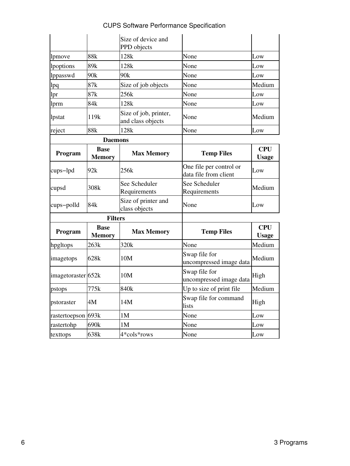|                    |                              | Size of device and<br>PPD objects          |                                                  |                            |
|--------------------|------------------------------|--------------------------------------------|--------------------------------------------------|----------------------------|
| lpmove             | 88 <sub>k</sub>              | 128k                                       | None                                             | Low                        |
| lpoptions          | 89k                          | 128k                                       | None                                             | Low                        |
| lppasswd           | 90k                          | 90k                                        | None                                             | Low                        |
| lpq                | 87k                          | Size of job objects                        | None                                             | Medium                     |
| lpr                | 87k                          | 256k                                       | None                                             | Low                        |
| lprm               | 84 <sub>k</sub>              | 128k                                       | None                                             | Low                        |
| lpstat             | 119k                         | Size of job, printer,<br>and class objects | None                                             | Medium                     |
| reject             | 88k                          | 128k                                       | None                                             | Low                        |
|                    | <b>Daemons</b>               |                                            |                                                  |                            |
| Program            | <b>Base</b><br><b>Memory</b> | <b>Max Memory</b>                          | <b>Temp Files</b>                                | <b>CPU</b><br><b>Usage</b> |
| cups-lpd           | 92k                          | 256k                                       | One file per control or<br>data file from client | Low                        |
| cupsd              | 308k                         | See Scheduler<br>Requirements              | See Scheduler<br>Requirements                    | Medium                     |
| cups-polld         | 84k                          | Size of printer and<br>class objects       | None                                             | Low                        |
|                    | <b>Filters</b>               |                                            |                                                  |                            |
| Program            | <b>Base</b><br><b>Memory</b> | <b>Max Memory</b>                          | <b>Temp Files</b>                                | <b>CPU</b><br><b>Usage</b> |
| hpgltops           | 263k                         | 320k                                       | None                                             | Medium                     |
| imagetops          | 628k                         | 10M                                        | Swap file for<br>uncompressed image data         | Medium                     |
| imagetoraster 652k |                              | 10M                                        | Swap file for<br>uncompressed image data         | High                       |
| pstops             | 775k                         | 840k                                       | Up to size of print file                         | Medium                     |
| pstoraster         | 4M                           | 14M                                        | Swap file for command<br>lists                   | High                       |
| rastertoepson 693k |                              | 1M                                         | None                                             | Low                        |
| rastertohp         | 690k                         | 1M                                         | None                                             | Low                        |
| texttops           | 638k                         | 4*cols*rows                                | None                                             | Low                        |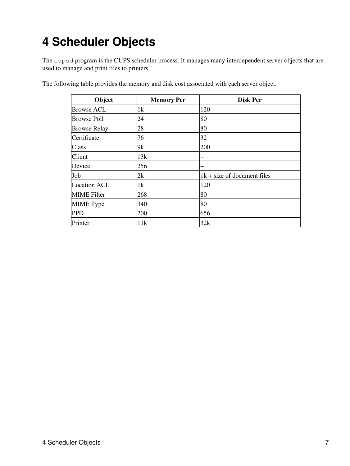### <span id="page-10-0"></span>**4 Scheduler Objects**

The cupsd program is the CUPS scheduler process. It manages many interdependent server objects that are used to manage and print files to printers.

| Object              | <b>Memory Per</b> | <b>Disk Per</b>               |
|---------------------|-------------------|-------------------------------|
| Browse ACL          | 1k                | 120                           |
| <b>Browse Poll</b>  | 24                | 80                            |
| <b>Browse Relay</b> | 28                | 80                            |
| Certificate         | 76                | 32                            |
| Class               | 9k                | 200                           |
| Client              | 13k               |                               |
| Device              | 256               |                               |
| Job                 | 2k                | $1k + size$ of document files |
| <b>Location ACL</b> | 1k                | 120                           |
| <b>MIME</b> Filter  | 268               | 80                            |
| MIME Type           | 340               | 80                            |
| <b>PPD</b>          | 200               | 656                           |
| Printer             | 11k               | 32k                           |

The following table provides the memory and disk cost associated with each server object.